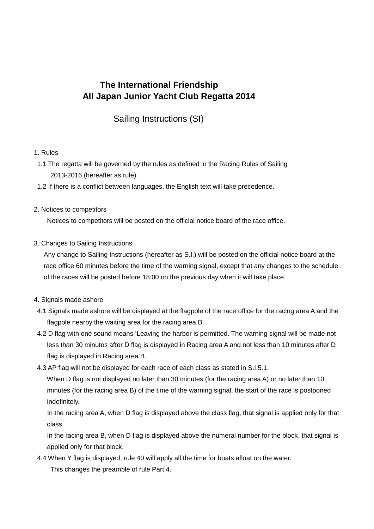# **The International Friendship All Japan Junior Yacht Club Regatta 2014**

Sailing Instructions (SI)

#### 1. Rules

- 1.1 The regatta will be governed by the rules as defined in the Racing Rules of Sailing 2013-2016 (hereafter as rule).
- 1.2 If there is a conflict between languages, the English text will take precedence.

## 2. Notices to competitors

Notices to competitors will be posted on the official notice board of the race office.

3. Changes to Sailing Instructions

Any change to Sailing Instructions (hereafter as S.I.) will be posted on the official notice board at the race office 60 minutes before the time of the warning signal, except that any changes to the schedule of the races will be posted before 18:00 on the previous day when it will take place.

- 4. Signals made ashore
- 4.1 Signals made ashore will be displayed at the flagpole of the race office for the racing area A and the flagpole nearby the waiting area for the racing area B.
- 4.2 D flag with one sound means "Leaving the harbor is permitted. The warning signal will be made not less than 30 minutes after D flag is displayed in Racing area A and not less than 10 minutes after D flag is displayed in Racing area B.
- 4.3 AP flag will not be displayed for each race of each class as stated in S.I.5.1.

When D flag is not displayed no later than 30 minutes (for the racing area A) or no later than 10 minutes (for the racing area B) of the time of the warning signal, the start of the race is postponed indefinitely.

 In the racing area A, when D flag is displayed above the class flag, that signal is applied only for that class.

In the racing area B, when D flag is displayed above the numeral number for the block, that signal is applied only for that block.

4.4 When Y flag is displayed, rule 40 will apply all the time for boats afloat on the water.

This changes the preamble of rule Part 4.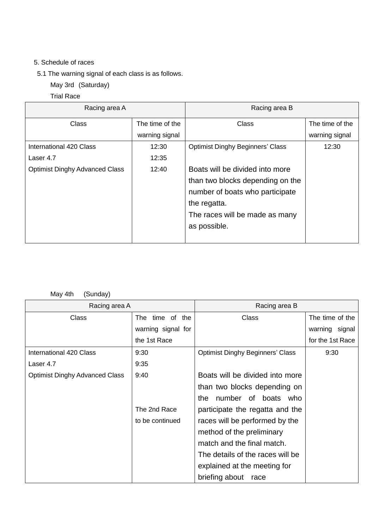## 5. Schedule of races

5.1 The warning signal of each class is as follows.

May 3rd (Saturday)

# Trial Race

| Racing area A                         |                 | Racing area B                           |                 |
|---------------------------------------|-----------------|-----------------------------------------|-----------------|
| <b>Class</b>                          | The time of the | Class                                   | The time of the |
|                                       | warning signal  |                                         | warning signal  |
| International 420 Class               | 12:30           | <b>Optimist Dinghy Beginners' Class</b> | 12:30           |
| Laser 4.7                             | 12:35           |                                         |                 |
| <b>Optimist Dinghy Advanced Class</b> | 12:40           | Boats will be divided into more         |                 |
|                                       |                 | than two blocks depending on the        |                 |
|                                       |                 | number of boats who participate         |                 |
|                                       |                 | the regatta.                            |                 |
|                                       |                 | The races will be made as many          |                 |
|                                       |                 | as possible.                            |                 |
|                                       |                 |                                         |                 |

# May 4th (Sunday)

| Racing area A                         |                    | Racing area B                           |                  |
|---------------------------------------|--------------------|-----------------------------------------|------------------|
| <b>Class</b>                          | The time of the    | Class                                   | The time of the  |
|                                       | warning signal for |                                         | warning signal   |
|                                       | the 1st Race       |                                         | for the 1st Race |
| International 420 Class               | 9:30               | <b>Optimist Dinghy Beginners' Class</b> | 9:30             |
| Laser 4.7                             | 9:35               |                                         |                  |
| <b>Optimist Dinghy Advanced Class</b> | 9:40               | Boats will be divided into more         |                  |
|                                       |                    | than two blocks depending on            |                  |
|                                       |                    | number of boats who<br>the              |                  |
|                                       | The 2nd Race       | participate the regatta and the         |                  |
|                                       | to be continued    | races will be performed by the          |                  |
|                                       |                    | method of the preliminary               |                  |
|                                       |                    | match and the final match.              |                  |
|                                       |                    | The details of the races will be        |                  |
|                                       |                    | explained at the meeting for            |                  |
|                                       |                    | briefing about<br>race                  |                  |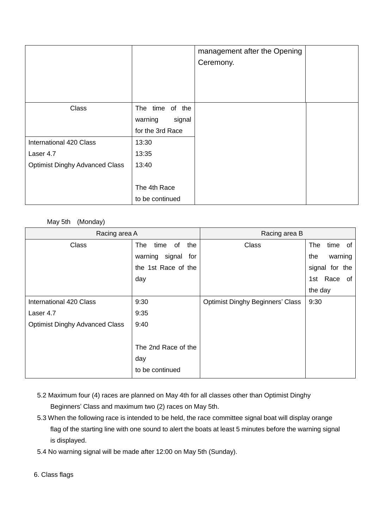|                                       |                   | management after the Opening<br>Ceremony. |  |
|---------------------------------------|-------------------|-------------------------------------------|--|
|                                       |                   |                                           |  |
| Class                                 | The time of the   |                                           |  |
|                                       | warning<br>signal |                                           |  |
|                                       | for the 3rd Race  |                                           |  |
| International 420 Class               | 13:30             |                                           |  |
| Laser 4.7                             | 13:35             |                                           |  |
| <b>Optimist Dinghy Advanced Class</b> | 13:40             |                                           |  |
|                                       |                   |                                           |  |
|                                       | The 4th Race      |                                           |  |
|                                       | to be continued   |                                           |  |

## May 5th (Monday)

| Racing area A                         |                          | Racing area B                           |                |  |
|---------------------------------------|--------------------------|-----------------------------------------|----------------|--|
| Class                                 | The<br>time<br>the<br>of | <b>Class</b>                            | The<br>time of |  |
|                                       | warning signal<br>for    |                                         | the<br>warning |  |
|                                       | the 1st Race of the      |                                         | signal for the |  |
|                                       | day                      |                                         | 1st Race<br>of |  |
|                                       |                          |                                         | the day        |  |
| International 420 Class               | 9:30                     | <b>Optimist Dinghy Beginners' Class</b> | 9:30           |  |
| Laser 4.7                             | 9:35                     |                                         |                |  |
| <b>Optimist Dinghy Advanced Class</b> | 9:40                     |                                         |                |  |
|                                       |                          |                                         |                |  |
|                                       | The 2nd Race of the      |                                         |                |  |
|                                       | day                      |                                         |                |  |
|                                       | to be continued          |                                         |                |  |

- 5.2 Maximum four (4) races are planned on May 4th for all classes other than Optimist Dinghy Beginners" Class and maximum two (2) races on May 5th.
- 5.3 When the following race is intended to be held, the race committee signal boat will display orange flag of the starting line with one sound to alert the boats at least 5 minutes before the warning signal is displayed.
- 5.4 No warning signal will be made after 12:00 on May 5th (Sunday).
- 6. Class flags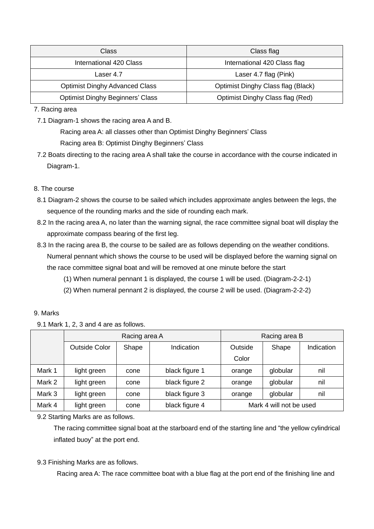| Class                                   | Class flag                         |
|-----------------------------------------|------------------------------------|
| International 420 Class                 | International 420 Class flag       |
| Laser 4.7                               | Laser 4.7 flag (Pink)              |
| <b>Optimist Dinghy Advanced Class</b>   | Optimist Dinghy Class flag (Black) |
| <b>Optimist Dinghy Beginners' Class</b> | Optimist Dinghy Class flag (Red)   |

7. Racing area

7.1 Diagram-1 shows the racing area A and B.

Racing area A: all classes other than Optimist Dinghy Beginners" Class

Racing area B: Optimist Dinghy Beginners" Class

- 7.2 Boats directing to the racing area A shall take the course in accordance with the course indicated in Diagram-1.
- 8. The course
- 8.1 Diagram-2 shows the course to be sailed which includes approximate angles between the legs, the sequence of the rounding marks and the side of rounding each mark.
- 8.2 In the racing area A, no later than the warning signal, the race committee signal boat will display the approximate compass bearing of the first leg.
- 8.3 In the racing area B, the course to be sailed are as follows depending on the weather conditions. Numeral pennant which shows the course to be used will be displayed before the warning signal on the race committee signal boat and will be removed at one minute before the start
	- (1) When numeral pennant 1 is displayed, the course 1 will be used. (Diagram-2-2-1)
	- (2) When numeral pennant 2 is displayed, the course 2 will be used. (Diagram-2-2-2)

#### 9. Marks

9.1 Mark 1, 2, 3 and 4 are as follows.

|        | Racing area A |       | Racing area B  |         |                         |            |
|--------|---------------|-------|----------------|---------|-------------------------|------------|
|        | Outside Color | Shape | Indication     | Outside | Shape                   | Indication |
|        |               |       |                | Color   |                         |            |
| Mark 1 | light green   | cone  | black figure 1 | orange  | globular                | nil        |
| Mark 2 | light green   | cone  | black figure 2 | orange  | globular                | nil        |
| Mark 3 | light green   | cone  | black figure 3 | orange  | globular                | nil        |
| Mark 4 | light green   | cone  | black figure 4 |         | Mark 4 will not be used |            |

9.2 Starting Marks are as follows.

The racing committee signal boat at the starboard end of the starting line and "the yellow cylindrical inflated buoy" at the port end.

9.3 Finishing Marks are as follows.

Racing area A: The race committee boat with a blue flag at the port end of the finishing line and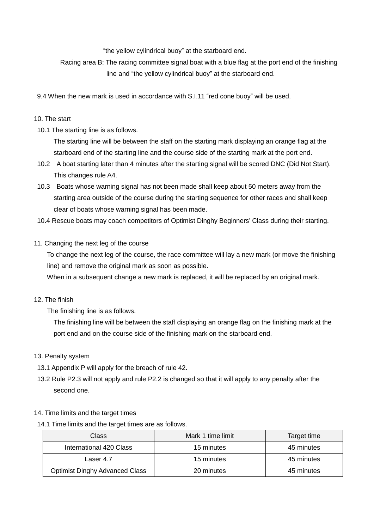"the yellow cylindrical buoy" at the starboard end.

Racing area B: The racing committee signal boat with a blue flag at the port end of the finishing line and "the yellow cylindrical buoy" at the starboard end.

9.4 When the new mark is used in accordance with S.I.11 "red cone buoy" will be used.

## 10. The start

10.1 The starting line is as follows.

The starting line will be between the staff on the starting mark displaying an orange flag at the starboard end of the starting line and the course side of the starting mark at the port end.

- 10.2 A boat starting later than 4 minutes after the starting signal will be scored DNC (Did Not Start). This changes rule A4.
- 10.3 Boats whose warning signal has not been made shall keep about 50 meters away from the starting area outside of the course during the starting sequence for other races and shall keep clear of boats whose warning signal has been made.
- 10.4 Rescue boats may coach competitors of Optimist Dinghy Beginners" Class during their starting.

#### 11. Changing the next leg of the course

To change the next leg of the course, the race committee will lay a new mark (or move the finishing line) and remove the original mark as soon as possible.

When in a subsequent change a new mark is replaced, it will be replaced by an original mark.

12. The finish

The finishing line is as follows.

The finishing line will be between the staff displaying an orange flag on the finishing mark at the port end and on the course side of the finishing mark on the starboard end.

#### 13. Penalty system

- 13.1 Appendix P will apply for the breach of rule 42.
- 13.2 Rule P2.3 will not apply and rule P2.2 is changed so that it will apply to any penalty after the second one.

#### 14. Time limits and the target times

14.1 Time limits and the target times are as follows.

| Class                                 | Mark 1 time limit | Target time |
|---------------------------------------|-------------------|-------------|
| International 420 Class               | 15 minutes        | 45 minutes  |
| Laser 4.7                             | 15 minutes        | 45 minutes  |
| <b>Optimist Dinghy Advanced Class</b> | 20 minutes        | 45 minutes  |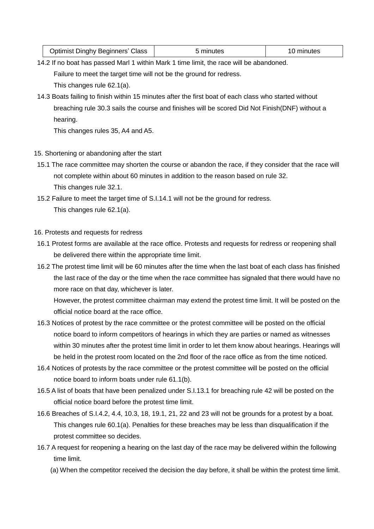| <b>Optimist Dinghy Beginners' Class</b> | 5 minutes | 10 minutes |
|-----------------------------------------|-----------|------------|
|-----------------------------------------|-----------|------------|

14.2 If no boat has passed Marl 1 within Mark 1 time limit, the race will be abandoned. Failure to meet the target time will not be the ground for redress. This changes rule 62.1(a).

14.3 Boats failing to finish within 15 minutes after the first boat of each class who started without breaching rule 30.3 sails the course and finishes will be scored Did Not Finish(DNF) without a hearing.

This changes rules 35, A4 and A5.

- 15. Shortening or abandoning after the start
- 15.1 The race committee may shorten the course or abandon the race, if they consider that the race will not complete within about 60 minutes in addition to the reason based on rule 32. This changes rule 32.1.
- 15.2 Failure to meet the target time of S.I.14.1 will not be the ground for redress. This changes rule 62.1(a).

## 16. Protests and requests for redress

- 16.1 Protest forms are available at the race office. Protests and requests for redress or reopening shall be delivered there within the appropriate time limit.
- 16.2 The protest time limit will be 60 minutes after the time when the last boat of each class has finished the last race of the day or the time when the race committee has signaled that there would have no more race on that day, whichever is later.

However, the protest committee chairman may extend the protest time limit. It will be posted on the official notice board at the race office.

- 16.3 Notices of protest by the race committee or the protest committee will be posted on the official notice board to inform competitors of hearings in which they are parties or named as witnesses within 30 minutes after the protest time limit in order to let them know about hearings. Hearings will be held in the protest room located on the 2nd floor of the race office as from the time noticed.
- 16.4 Notices of protests by the race committee or the protest committee will be posted on the official notice board to inform boats under rule 61.1(b).
- 16.5 A list of boats that have been penalized under S.I.13.1 for breaching rule 42 will be posted on the official notice board before the protest time limit.
- 16.6 Breaches of S.I.4.2, 4.4, 10.3, 18, 19.1, 21, 22 and 23 will not be grounds for a protest by a boat. This changes rule 60.1(a). Penalties for these breaches may be less than disqualification if the protest committee so decides.
- 16.7 A request for reopening a hearing on the last day of the race may be delivered within the following time limit.
	- (a) When the competitor received the decision the day before, it shall be within the protest time limit.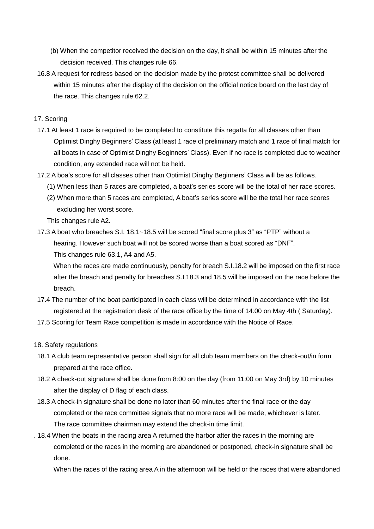- (b) When the competitor received the decision on the day, it shall be within 15 minutes after the decision received. This changes rule 66.
- 16.8 A request for redress based on the decision made by the protest committee shall be delivered within 15 minutes after the display of the decision on the official notice board on the last day of the race. This changes rule 62.2.
- 17. Scoring
- 17.1 At least 1 race is required to be completed to constitute this regatta for all classes other than Optimist Dinghy Beginners" Class (at least 1 race of preliminary match and 1 race of final match for all boats in case of Optimist Dinghy Beginners" Class). Even if no race is completed due to weather condition, any extended race will not be held.
- 17.2 A boa's score for all classes other than Optimist Dinghy Beginners' Class will be as follows.
	- (1) When less than 5 races are completed, a boat"s series score will be the total of her race scores.
	- (2) When more than 5 races are completed, A boat"s series score will be the total her race scores excluding her worst score.

This changes rule A2.

17.3 A boat who breaches S.I. 18.1~18.5 will be scored "final score plus 3" as "PTP" without a hearing. However such boat will not be scored worse than a boat scored as "DNF". This changes rule 63.1, A4 and A5.

When the races are made continuously, penalty for breach S.I.18.2 will be imposed on the first race after the breach and penalty for breaches S.I.18.3 and 18.5 will be imposed on the race before the breach.

- 17.4 The number of the boat participated in each class will be determined in accordance with the list registered at the registration desk of the race office by the time of 14:00 on May 4th ( Saturday).
- 17.5 Scoring for Team Race competition is made in accordance with the Notice of Race.
- 18. Safety regulations
- 18.1 A club team representative person shall sign for all club team members on the check-out/in form prepared at the race office.
- 18.2 A check-out signature shall be done from 8:00 on the day (from 11:00 on May 3rd) by 10 minutes after the display of D flag of each class.
- 18.3 A check-in signature shall be done no later than 60 minutes after the final race or the day completed or the race committee signals that no more race will be made, whichever is later. The race committee chairman may extend the check-in time limit.
- . 18.4 When the boats in the racing area A returned the harbor after the races in the morning are completed or the races in the morning are abandoned or postponed, check-in signature shall be done.

When the races of the racing area A in the afternoon will be held or the races that were abandoned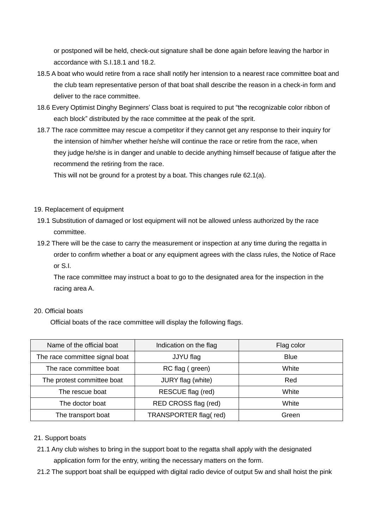or postponed will be held, check-out signature shall be done again before leaving the harbor in accordance with S.I.18.1 and 18.2.

- 18.5 A boat who would retire from a race shall notify her intension to a nearest race committee boat and the club team representative person of that boat shall describe the reason in a check-in form and deliver to the race committee.
- 18.6 Every Optimist Dinghy Beginners" Class boat is required to put "the recognizable color ribbon of each block" distributed by the race committee at the peak of the sprit.
- 18.7 The race committee may rescue a competitor if they cannot get any response to their inquiry for the intension of him/her whether he/she will continue the race or retire from the race, when they judge he/she is in danger and unable to decide anything himself because of fatigue after the recommend the retiring from the race.

This will not be ground for a protest by a boat. This changes rule 62.1(a).

- 19. Replacement of equipment
- 19.1 Substitution of damaged or lost equipment will not be allowed unless authorized by the race committee.
- 19.2 There will be the case to carry the measurement or inspection at any time during the regatta in order to confirm whether a boat or any equipment agrees with the class rules, the Notice of Race or S.I.

The race committee may instruct a boat to go to the designated area for the inspection in the racing area A.

# 20. Official boats

Official boats of the race committee will display the following flags.

| Name of the official boat      | Indication on the flag | Flag color  |
|--------------------------------|------------------------|-------------|
| The race committee signal boat | JJYU flag              | <b>Blue</b> |
| The race committee boat        | RC flag (green)        | White       |
| The protest committee boat     | JURY flag (white)      | Red         |
| The rescue boat                | RESCUE flag (red)      | White       |
| The doctor boat                | RED CROSS flag (red)   | White       |
| The transport boat             | TRANSPORTER flag(red)  | Green       |

# 21. Support boats

- 21.1 Any club wishes to bring in the support boat to the regatta shall apply with the designated application form for the entry, writing the necessary matters on the form.
- 21.2 The support boat shall be equipped with digital radio device of output 5w and shall hoist the pink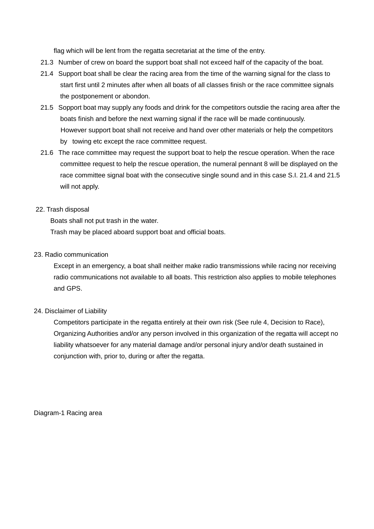flag which will be lent from the regatta secretariat at the time of the entry.

- 21.3 Number of crew on board the support boat shall not exceed half of the capacity of the boat.
- 21.4 Support boat shall be clear the racing area from the time of the warning signal for the class to start first until 2 minutes after when all boats of all classes finish or the race committee signals the postponement or abondon.
- 21.5 Sopport boat may supply any foods and drink for the competitors outsdie the racing area after the boats finish and before the next warning signal if the race will be made continuously. However support boat shall not receive and hand over other materials or help the competitors by towing etc except the race committee request.
- 21.6 The race committee may request the support boat to help the rescue operation. When the race committee request to help the rescue operation, the numeral pennant 8 will be displayed on the race committee signal boat with the consecutive single sound and in this case S.I. 21.4 and 21.5 will not apply.

#### 22. Trash disposal

Boats shall not put trash in the water.

Trash may be placed aboard support boat and official boats.

#### 23. Radio communication

Except in an emergency, a boat shall neither make radio transmissions while racing nor receiving radio communications not available to all boats. This restriction also applies to mobile telephones and GPS.

#### 24. Disclaimer of Liability

Competitors participate in the regatta entirely at their own risk (See rule 4, Decision to Race), Organizing Authorities and/or any person involved in this organization of the regatta will accept no liability whatsoever for any material damage and/or personal injury and/or death sustained in conjunction with, prior to, during or after the regatta.

Diagram-1 Racing area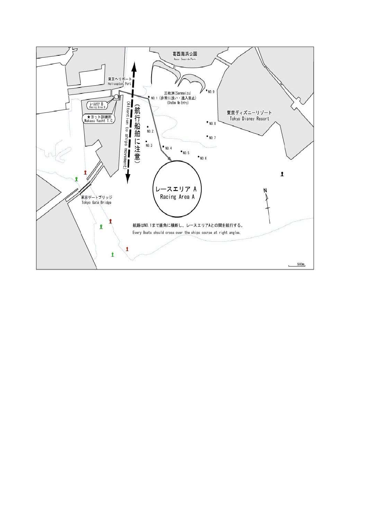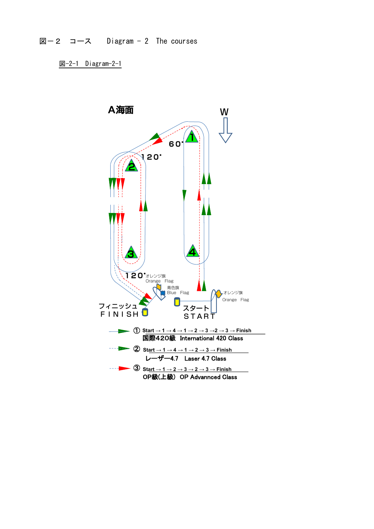**図-2-1 Diagram-2-1** 

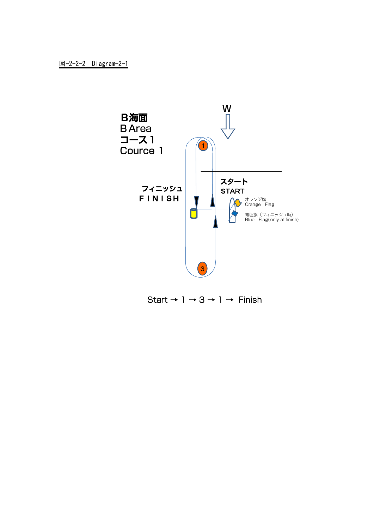

Start  $\rightarrow$  1  $\rightarrow$  3  $\rightarrow$  1  $\rightarrow$  Finish